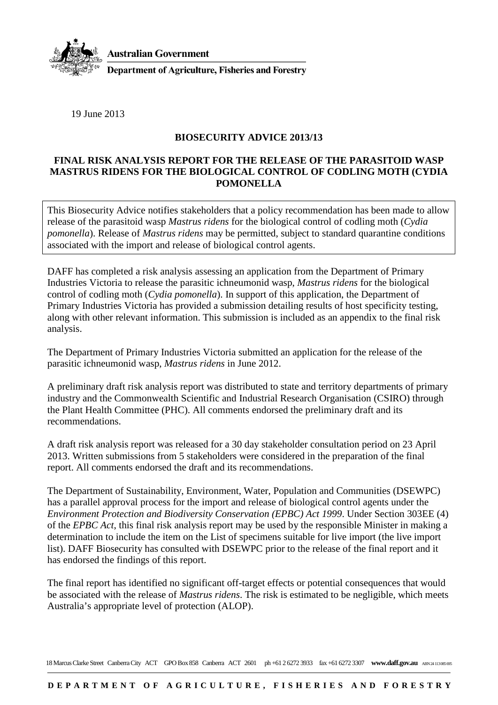

**Australian Government** 

**Department of Agriculture, Fisheries and Forestry** 

19 June 2013

## **BIOSECURITY ADVICE 2013/13**

## **FINAL RISK ANALYSIS REPORT FOR THE RELEASE OF THE PARASITOID WASP MASTRUS RIDENS FOR THE BIOLOGICAL CONTROL OF CODLING MOTH (CYDIA POMONELLA**

This Biosecurity Advice notifies stakeholders that a policy recommendation has been made to allow release of the parasitoid wasp *Mastrus ridens* for the biological control of codling moth (*Cydia pomonella*). Release of *Mastrus ridens* may be permitted, subject to standard quarantine conditions associated with the import and release of biological control agents.

DAFF has completed a risk analysis assessing an application from the Department of Primary Industries Victoria to release the parasitic ichneumonid wasp, *Mastrus ridens* for the biological control of codling moth (*Cydia pomonella*). In support of this application, the Department of Primary Industries Victoria has provided a submission detailing results of host specificity testing, along with other relevant information. This submission is included as an appendix to the final risk analysis.

The Department of Primary Industries Victoria submitted an application for the release of the parasitic ichneumonid wasp, *Mastrus ridens* in June 2012.

A preliminary draft risk analysis report was distributed to state and territory departments of primary industry and the Commonwealth Scientific and Industrial Research Organisation (CSIRO) through the Plant Health Committee (PHC). All comments endorsed the preliminary draft and its recommendations.

A draft risk analysis report was released for a 30 day stakeholder consultation period on 23 April 2013. Written submissions from 5 stakeholders were considered in the preparation of the final report. All comments endorsed the draft and its recommendations.

The Department of Sustainability, Environment, Water, Population and Communities (DSEWPC) has a parallel approval process for the import and release of biological control agents under the *Environment Protection and Biodiversity Conservation (EPBC) Act 1999*. Under Section 303EE (4) of the *EPBC Act*, this final risk analysis report may be used by the responsible Minister in making a determination to include the item on the List of specimens suitable for live import (the live import list). DAFF Biosecurity has consulted with DSEWPC prior to the release of the final report and it has endorsed the findings of this report.

The final report has identified no significant off-target effects or potential consequences that would be associated with the release of *Mastrus ridens*. The risk is estimated to be negligible, which meets Australia's appropriate level of protection (ALOP).

18 Marcus Clarke Street Canberra City ACT GPO Box 858 Canberra ACT 2601 ph +61 2 6272 3933 fax +61 6272 3307 **www.daff.gov.au** ABN 24 113085 695